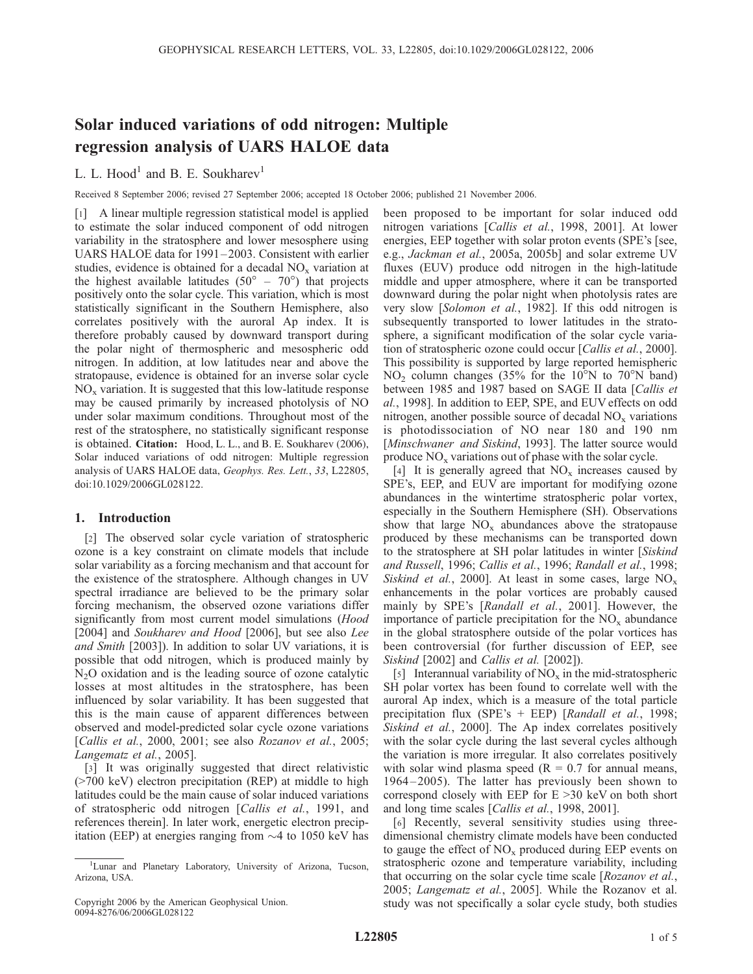# Solar induced variations of odd nitrogen: Multiple regression analysis of UARS HALOE data

# L. L. Hood<sup>1</sup> and B. E. Soukharev<sup>1</sup>

Received 8 September 2006; revised 27 September 2006; accepted 18 October 2006; published 21 November 2006.

[1] A linear multiple regression statistical model is applied to estimate the solar induced component of odd nitrogen variability in the stratosphere and lower mesosphere using UARS HALOE data for 1991-2003. Consistent with earlier studies, evidence is obtained for a decadal  $NO<sub>x</sub>$  variation at the highest available latitudes ( $50^{\circ}$  –  $70^{\circ}$ ) that projects positively onto the solar cycle. This variation, which is most statistically significant in the Southern Hemisphere, also correlates positively with the auroral Ap index. It is therefore probably caused by downward transport during the polar night of thermospheric and mesospheric odd nitrogen. In addition, at low latitudes near and above the stratopause, evidence is obtained for an inverse solar cycle  $NO<sub>x</sub>$  variation. It is suggested that this low-latitude response may be caused primarily by increased photolysis of NO under solar maximum conditions. Throughout most of the rest of the stratosphere, no statistically significant response is obtained. Citation: Hood, L. L., and B. E. Soukharev (2006), Solar induced variations of odd nitrogen: Multiple regression analysis of UARS HALOE data, Geophys. Res. Lett., 33, L22805, doi:10.1029/2006GL028122.

## 1. Introduction

[2] The observed solar cycle variation of stratospheric ozone is a key constraint on climate models that include solar variability as a forcing mechanism and that account for the existence of the stratosphere. Although changes in UV spectral irradiance are believed to be the primary solar forcing mechanism, the observed ozone variations differ significantly from most current model simulations (*Hood* [2004] and Soukharev and Hood [2006], but see also Lee and Smith [2003]). In addition to solar UV variations, it is possible that odd nitrogen, which is produced mainly by  $N<sub>2</sub>O$  oxidation and is the leading source of ozone catalytic losses at most altitudes in the stratosphere, has been influenced by solar variability. It has been suggested that this is the main cause of apparent differences between observed and model-predicted solar cycle ozone variations [Callis et al., 2000, 2001; see also Rozanov et al., 2005; Langematz et al., 2005].

[3] It was originally suggested that direct relativistic (>700 keV) electron precipitation (REP) at middle to high latitudes could be the main cause of solar induced variations of stratospheric odd nitrogen [Callis et al., 1991, and references therein]. In later work, energetic electron precipitation (EEP) at energies ranging from  $\sim$  4 to 1050 keV has been proposed to be important for solar induced odd nitrogen variations [Callis et al., 1998, 2001]. At lower energies, EEP together with solar proton events (SPE's [see, e.g., Jackman et al., 2005a, 2005b] and solar extreme UV fluxes (EUV) produce odd nitrogen in the high-latitude middle and upper atmosphere, where it can be transported downward during the polar night when photolysis rates are very slow [Solomon et al., 1982]. If this odd nitrogen is subsequently transported to lower latitudes in the stratosphere, a significant modification of the solar cycle variation of stratospheric ozone could occur [Callis et al., 2000]. This possibility is supported by large reported hemispheric  $NO<sub>2</sub>$  column changes (35% for the 10<sup>o</sup>N to 70<sup>o</sup>N band) between 1985 and 1987 based on SAGE II data [Callis et al., 1998]. In addition to EEP, SPE, and EUV effects on odd nitrogen, another possible source of decadal  $NO<sub>x</sub>$  variations is photodissociation of NO near 180 and 190 nm [Minschwaner and Siskind, 1993]. The latter source would produce  $NO<sub>x</sub>$  variations out of phase with the solar cycle.

[4] It is generally agreed that  $NO<sub>x</sub>$  increases caused by SPE's, EEP, and EUV are important for modifying ozone abundances in the wintertime stratospheric polar vortex, especially in the Southern Hemisphere (SH). Observations show that large  $NO_x$  abundances above the stratopause produced by these mechanisms can be transported down to the stratosphere at SH polar latitudes in winter [Siskind and Russell, 1996; Callis et al., 1996; Randall et al., 1998; Siskind et al., 2000]. At least in some cases, large  $NO_x$ enhancements in the polar vortices are probably caused mainly by SPE's [Randall et al., 2001]. However, the importance of particle precipitation for the  $NO<sub>x</sub>$  abundance in the global stratosphere outside of the polar vortices has been controversial (for further discussion of EEP, see Siskind [2002] and Callis et al. [2002]).

[5] Interannual variability of  $NO<sub>x</sub>$  in the mid-stratospheric SH polar vortex has been found to correlate well with the auroral Ap index, which is a measure of the total particle precipitation flux (SPE's + EEP) [Randall et al., 1998; Siskind et al., 2000]. The Ap index correlates positively with the solar cycle during the last several cycles although the variation is more irregular. It also correlates positively with solar wind plasma speed ( $R = 0.7$  for annual means, 1964 –2005). The latter has previously been shown to correspond closely with EEP for  $E > 30$  keV on both short and long time scales [Callis et al., 1998, 2001].

[6] Recently, several sensitivity studies using threedimensional chemistry climate models have been conducted to gauge the effect of  $NO<sub>x</sub>$  produced during EEP events on stratospheric ozone and temperature variability, including that occurring on the solar cycle time scale [Rozanov et al., 2005; Langematz et al., 2005]. While the Rozanov et al. study was not specifically a solar cycle study, both studies

<sup>&</sup>lt;sup>1</sup>Lunar and Planetary Laboratory, University of Arizona, Tucson, Arizona, USA.

Copyright 2006 by the American Geophysical Union. 0094-8276/06/2006GL028122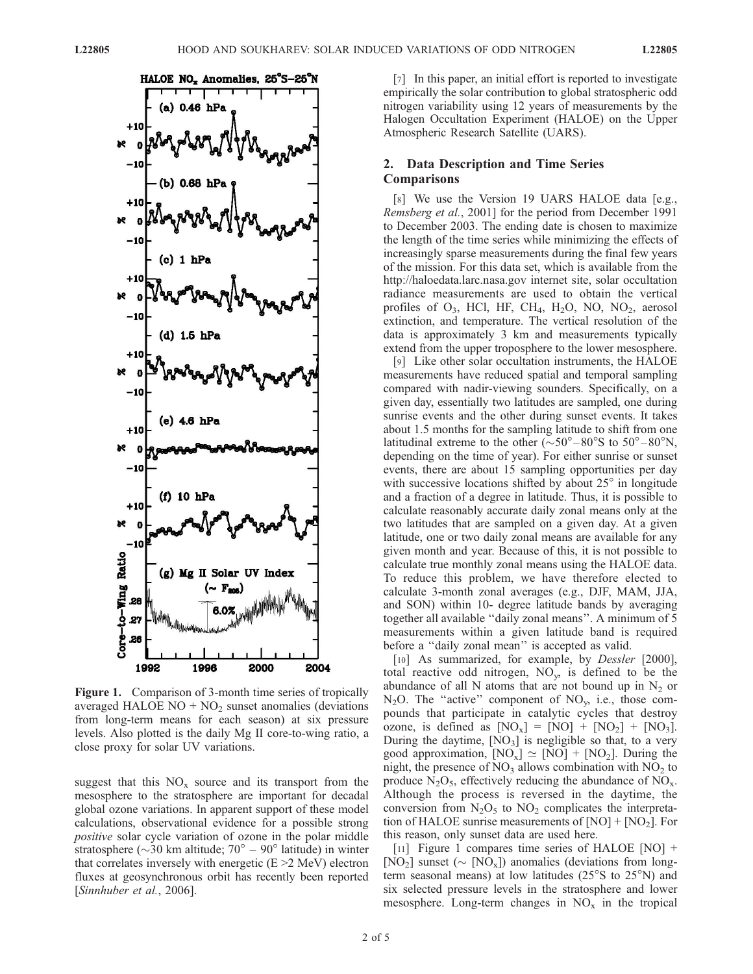

Figure 1. Comparison of 3-month time series of tropically averaged HALOE  $NO + NO<sub>2</sub>$  sunset anomalies (deviations from long-term means for each season) at six pressure levels. Also plotted is the daily Mg II core-to-wing ratio, a close proxy for solar UV variations.

suggest that this  $NO<sub>x</sub>$  source and its transport from the mesosphere to the stratosphere are important for decadal global ozone variations. In apparent support of these model calculations, observational evidence for a possible strong positive solar cycle variation of ozone in the polar middle stratosphere ( $\sim$ 30 km altitude; 70<sup>°</sup> – 90<sup>°</sup> latitude) in winter that correlates inversely with energetic  $(E > 2 \text{ MeV})$  electron fluxes at geosynchronous orbit has recently been reported [Sinnhuber et al., 2006].

[7] In this paper, an initial effort is reported to investigate empirically the solar contribution to global stratospheric odd nitrogen variability using 12 years of measurements by the Halogen Occultation Experiment (HALOE) on the Upper Atmospheric Research Satellite (UARS).

## 2. Data Description and Time Series Comparisons

[8] We use the Version 19 UARS HALOE data [e.g., Remsberg et al., 2001] for the period from December 1991 to December 2003. The ending date is chosen to maximize the length of the time series while minimizing the effects of increasingly sparse measurements during the final few years of the mission. For this data set, which is available from the http://haloedata.larc.nasa.gov internet site, solar occultation radiance measurements are used to obtain the vertical profiles of  $O_3$ , HCl, HF, CH<sub>4</sub>, H<sub>2</sub>O, NO, NO<sub>2</sub>, aerosol extinction, and temperature. The vertical resolution of the data is approximately 3 km and measurements typically extend from the upper troposphere to the lower mesosphere.

[9] Like other solar occultation instruments, the HALOE measurements have reduced spatial and temporal sampling compared with nadir-viewing sounders. Specifically, on a given day, essentially two latitudes are sampled, one during sunrise events and the other during sunset events. It takes about 1.5 months for the sampling latitude to shift from one latitudinal extreme to the other  $(\sim 50^{\circ} - 80^{\circ} S)$  to  $50^{\circ} - 80^{\circ} N$ , depending on the time of year). For either sunrise or sunset events, there are about 15 sampling opportunities per day with successive locations shifted by about  $25^\circ$  in longitude and a fraction of a degree in latitude. Thus, it is possible to calculate reasonably accurate daily zonal means only at the two latitudes that are sampled on a given day. At a given latitude, one or two daily zonal means are available for any given month and year. Because of this, it is not possible to calculate true monthly zonal means using the HALOE data. To reduce this problem, we have therefore elected to calculate 3-month zonal averages (e.g., DJF, MAM, JJA, and SON) within 10- degree latitude bands by averaging together all available ''daily zonal means''. A minimum of 5 measurements within a given latitude band is required before a ''daily zonal mean'' is accepted as valid.

[10] As summarized, for example, by *Dessler* [2000], total reactive odd nitrogen,  $NO<sub>v</sub>$ , is defined to be the abundance of all N atoms that are not bound up in  $N_2$  or  $N_2O$ . The "active" component of  $NO_v$ , i.e., those compounds that participate in catalytic cycles that destroy ozone, is defined as  $[NO<sub>x</sub>] = [NO] + [NO<sub>2</sub>] + [NO<sub>3</sub>].$ During the daytime,  $[NO<sub>3</sub>]$  is negligible so that, to a very good approximation,  $[NO_x] \simeq [NO] + [NO_2]$ . During the night, the presence of  $NO_3$  allows combination with  $NO_2$  to produce  $N_2O_5$ , effectively reducing the abundance of  $NO<sub>x</sub>$ . Although the process is reversed in the daytime, the conversion from  $N_2O_5$  to  $NO_2$  complicates the interpretation of HALOE sunrise measurements of  $[NO] + [NO<sub>2</sub>]$ . For this reason, only sunset data are used here.

[11] Figure 1 compares time series of HALOE [NO] + [NO<sub>2</sub>] sunset ( $\sim$  [NO<sub>x</sub>]) anomalies (deviations from longterm seasonal means) at low latitudes  $(25^{\circ}S)$  to  $25^{\circ}N$  and six selected pressure levels in the stratosphere and lower mesosphere. Long-term changes in  $NO<sub>x</sub>$  in the tropical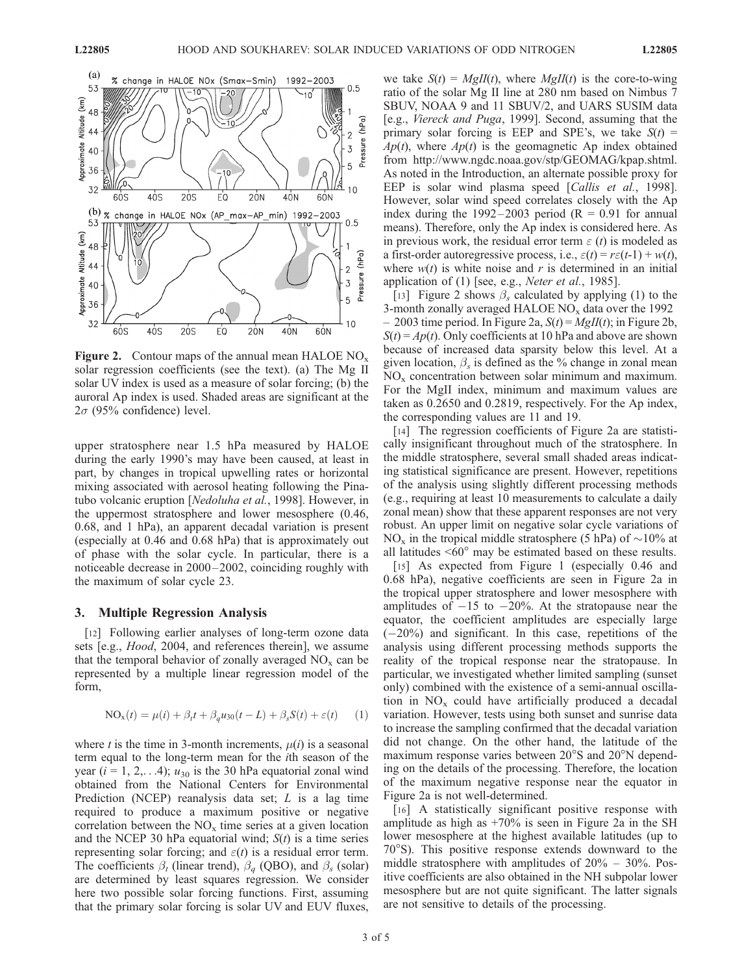

**Figure 2.** Contour maps of the annual mean HALOE  $NO_x$ solar regression coefficients (see the text). (a) The Mg II solar UV index is used as a measure of solar forcing; (b) the auroral Ap index is used. Shaded areas are significant at the  $2\sigma$  (95% confidence) level.

upper stratosphere near 1.5 hPa measured by HALOE during the early 1990's may have been caused, at least in part, by changes in tropical upwelling rates or horizontal mixing associated with aerosol heating following the Pinatubo volcanic eruption [Nedoluha et al., 1998]. However, in the uppermost stratosphere and lower mesosphere (0.46, 0.68, and 1 hPa), an apparent decadal variation is present (especially at 0.46 and 0.68 hPa) that is approximately out of phase with the solar cycle. In particular, there is a noticeable decrease in 2000 – 2002, coinciding roughly with the maximum of solar cycle 23.

### 3. Multiple Regression Analysis

[12] Following earlier analyses of long-term ozone data sets [e.g., *Hood*, 2004, and references therein], we assume that the temporal behavior of zonally averaged  $NO<sub>x</sub>$  can be represented by a multiple linear regression model of the form,

$$
NO_x(t) = \mu(i) + \beta_t t + \beta_q u_{30}(t - L) + \beta_s S(t) + \varepsilon(t) \qquad (1)
$$

where t is the time in 3-month increments,  $\mu(i)$  is a seasonal term equal to the long-term mean for the ith season of the year ( $i = 1, 2, \ldots 4$ );  $u_{30}$  is the 30 hPa equatorial zonal wind obtained from the National Centers for Environmental Prediction (NCEP) reanalysis data set; L is a lag time required to produce a maximum positive or negative correlation between the  $NO<sub>x</sub>$  time series at a given location and the NCEP 30 hPa equatorial wind;  $S(t)$  is a time series representing solar forcing; and  $\varepsilon(t)$  is a residual error term. The coefficients  $\beta_t$  (linear trend),  $\beta_a$  (QBO), and  $\beta_s$  (solar) are determined by least squares regression. We consider here two possible solar forcing functions. First, assuming that the primary solar forcing is solar UV and EUV fluxes, we take  $S(t) = MgII(t)$ , where  $MgII(t)$  is the core-to-wing ratio of the solar Mg II line at 280 nm based on Nimbus 7 SBUV, NOAA 9 and 11 SBUV/2, and UARS SUSIM data [e.g., Viereck and Puga, 1999]. Second, assuming that the primary solar forcing is EEP and SPE's, we take  $S(t)$  =  $Ap(t)$ , where  $Ap(t)$  is the geomagnetic Ap index obtained from http://www.ngdc.noaa.gov/stp/GEOMAG/kpap.shtml. As noted in the Introduction, an alternate possible proxy for EEP is solar wind plasma speed [Callis et al., 1998]. However, solar wind speed correlates closely with the Ap index during the 1992–2003 period ( $R = 0.91$  for annual means). Therefore, only the Ap index is considered here. As in previous work, the residual error term  $\varepsilon$  (*t*) is modeled as a first-order autoregressive process, i.e.,  $\varepsilon(t) = r\varepsilon(t-1) + w(t)$ , where  $w(t)$  is white noise and r is determined in an initial application of  $(1)$  [see, e.g., Neter et al., 1985].

[13] Figure 2 shows  $\beta_s$  calculated by applying (1) to the 3-month zonally averaged HALOE  $NO_x$  data over the 1992 – 2003 time period. In Figure 2a,  $S(t) = MgII(t)$ ; in Figure 2b,  $S(t) = Ap(t)$ . Only coefficients at 10 hPa and above are shown because of increased data sparsity below this level. At a given location,  $\beta_s$  is defined as the % change in zonal mean  $NO<sub>x</sub>$  concentration between solar minimum and maximum. For the MgII index, minimum and maximum values are taken as 0.2650 and 0.2819, respectively. For the Ap index, the corresponding values are 11 and 19.

[14] The regression coefficients of Figure 2a are statistically insignificant throughout much of the stratosphere. In the middle stratosphere, several small shaded areas indicating statistical significance are present. However, repetitions of the analysis using slightly different processing methods (e.g., requiring at least 10 measurements to calculate a daily zonal mean) show that these apparent responses are not very robust. An upper limit on negative solar cycle variations of NO<sub>x</sub> in the tropical middle stratosphere (5 hPa) of  $\sim$ 10% at all latitudes  $\leq 60^\circ$  may be estimated based on these results.

[15] As expected from Figure 1 (especially 0.46 and 0.68 hPa), negative coefficients are seen in Figure 2a in the tropical upper stratosphere and lower mesosphere with amplitudes of  $-15$  to  $-20\%$ . At the stratopause near the equator, the coefficient amplitudes are especially large  $(-20\%)$  and significant. In this case, repetitions of the analysis using different processing methods supports the reality of the tropical response near the stratopause. In particular, we investigated whether limited sampling (sunset only) combined with the existence of a semi-annual oscillation in  $NO<sub>x</sub>$  could have artificially produced a decadal variation. However, tests using both sunset and sunrise data to increase the sampling confirmed that the decadal variation did not change. On the other hand, the latitude of the maximum response varies between  $20^{\circ}$ S and  $20^{\circ}$ N depending on the details of the processing. Therefore, the location of the maximum negative response near the equator in Figure 2a is not well-determined.

[16] A statistically significant positive response with amplitude as high as +70% is seen in Figure 2a in the SH lower mesosphere at the highest available latitudes (up to  $70^{\circ}$ S). This positive response extends downward to the middle stratosphere with amplitudes of 20% – 30%. Positive coefficients are also obtained in the NH subpolar lower mesosphere but are not quite significant. The latter signals are not sensitive to details of the processing.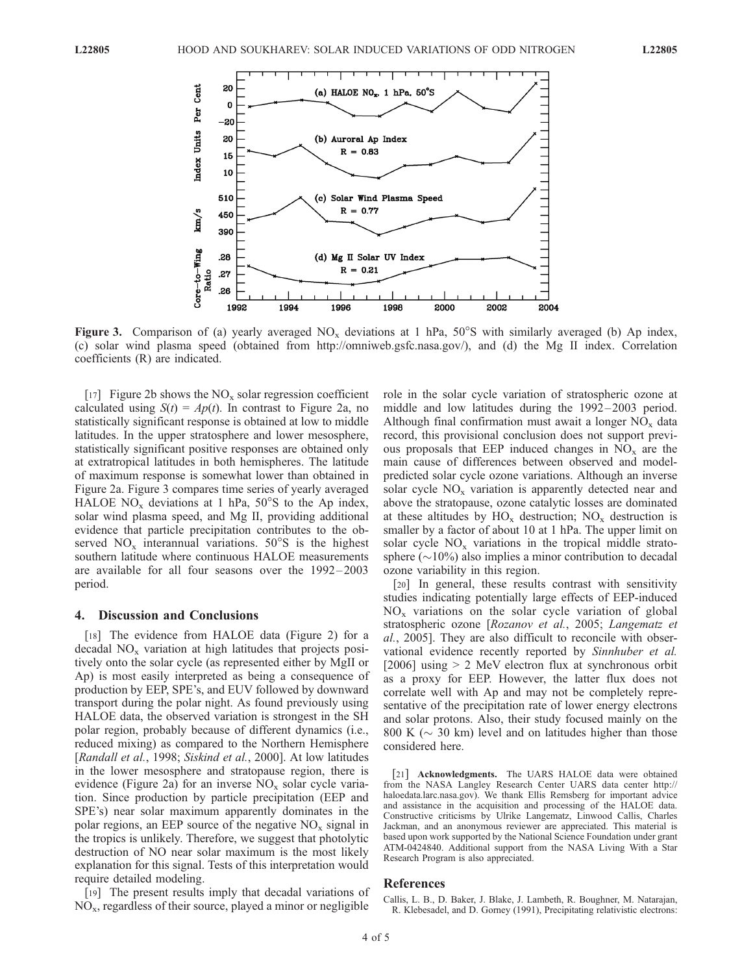

Figure 3. Comparison of (a) yearly averaged  $NO_x$  deviations at 1 hPa, 50°S with similarly averaged (b) Ap index, (c) solar wind plasma speed (obtained from http://omniweb.gsfc.nasa.gov/), and (d) the Mg II index. Correlation coefficients (R) are indicated.

[17] Figure 2b shows the  $NO_x$  solar regression coefficient calculated using  $S(t) = Ap(t)$ . In contrast to Figure 2a, no statistically significant response is obtained at low to middle latitudes. In the upper stratosphere and lower mesosphere, statistically significant positive responses are obtained only at extratropical latitudes in both hemispheres. The latitude of maximum response is somewhat lower than obtained in Figure 2a. Figure 3 compares time series of yearly averaged HALOE  $NO_x$  deviations at 1 hPa,  $50^{\circ}$ S to the Ap index, solar wind plasma speed, and Mg II, providing additional evidence that particle precipitation contributes to the observed  $NO_x$  interannual variations.  $50^{\circ}$ S is the highest southern latitude where continuous HALOE measurements are available for all four seasons over the 1992 – 2003 period.

### 4. Discussion and Conclusions

[18] The evidence from HALOE data (Figure 2) for a decadal  $NO<sub>x</sub>$  variation at high latitudes that projects positively onto the solar cycle (as represented either by MgII or Ap) is most easily interpreted as being a consequence of production by EEP, SPE's, and EUV followed by downward transport during the polar night. As found previously using HALOE data, the observed variation is strongest in the SH polar region, probably because of different dynamics (i.e., reduced mixing) as compared to the Northern Hemisphere [Randall et al., 1998; Siskind et al., 2000]. At low latitudes in the lower mesosphere and stratopause region, there is evidence (Figure 2a) for an inverse  $NO<sub>x</sub>$  solar cycle variation. Since production by particle precipitation (EEP and SPE's) near solar maximum apparently dominates in the polar regions, an EEP source of the negative  $NO<sub>x</sub>$  signal in the tropics is unlikely. Therefore, we suggest that photolytic destruction of NO near solar maximum is the most likely explanation for this signal. Tests of this interpretation would require detailed modeling.

[19] The present results imply that decadal variations of  $NO<sub>x</sub>$ , regardless of their source, played a minor or negligible role in the solar cycle variation of stratospheric ozone at middle and low latitudes during the 1992–2003 period. Although final confirmation must await a longer  $NO<sub>x</sub>$  data record, this provisional conclusion does not support previous proposals that EEP induced changes in  $NO<sub>x</sub>$  are the main cause of differences between observed and modelpredicted solar cycle ozone variations. Although an inverse solar cycle  $NO_x$  variation is apparently detected near and above the stratopause, ozone catalytic losses are dominated at these altitudes by  $HO_x$  destruction;  $NO_x$  destruction is smaller by a factor of about 10 at 1 hPa. The upper limit on solar cycle  $NO<sub>x</sub>$  variations in the tropical middle stratosphere  $(\sim 10\%)$  also implies a minor contribution to decadal ozone variability in this region.

[20] In general, these results contrast with sensitivity studies indicating potentially large effects of EEP-induced  $NO<sub>x</sub>$  variations on the solar cycle variation of global stratospheric ozone [Rozanov et al., 2005; Langematz et al., 2005]. They are also difficult to reconcile with observational evidence recently reported by Sinnhuber et al. [2006] using  $> 2$  MeV electron flux at synchronous orbit as a proxy for EEP. However, the latter flux does not correlate well with Ap and may not be completely representative of the precipitation rate of lower energy electrons and solar protons. Also, their study focused mainly on the 800 K ( $\sim$  30 km) level and on latitudes higher than those considered here.

[21] Acknowledgments. The UARS HALOE data were obtained from the NASA Langley Research Center UARS data center http:// haloedata.larc.nasa.gov). We thank Ellis Remsberg for important advice and assistance in the acquisition and processing of the HALOE data. Constructive criticisms by Ulrike Langematz, Linwood Callis, Charles Jackman, and an anonymous reviewer are appreciated. This material is based upon work supported by the National Science Foundation under grant ATM-0424840. Additional support from the NASA Living With a Star Research Program is also appreciated.

## References

Callis, L. B., D. Baker, J. Blake, J. Lambeth, R. Boughner, M. Natarajan, R. Klebesadel, and D. Gorney (1991), Precipitating relativistic electrons: